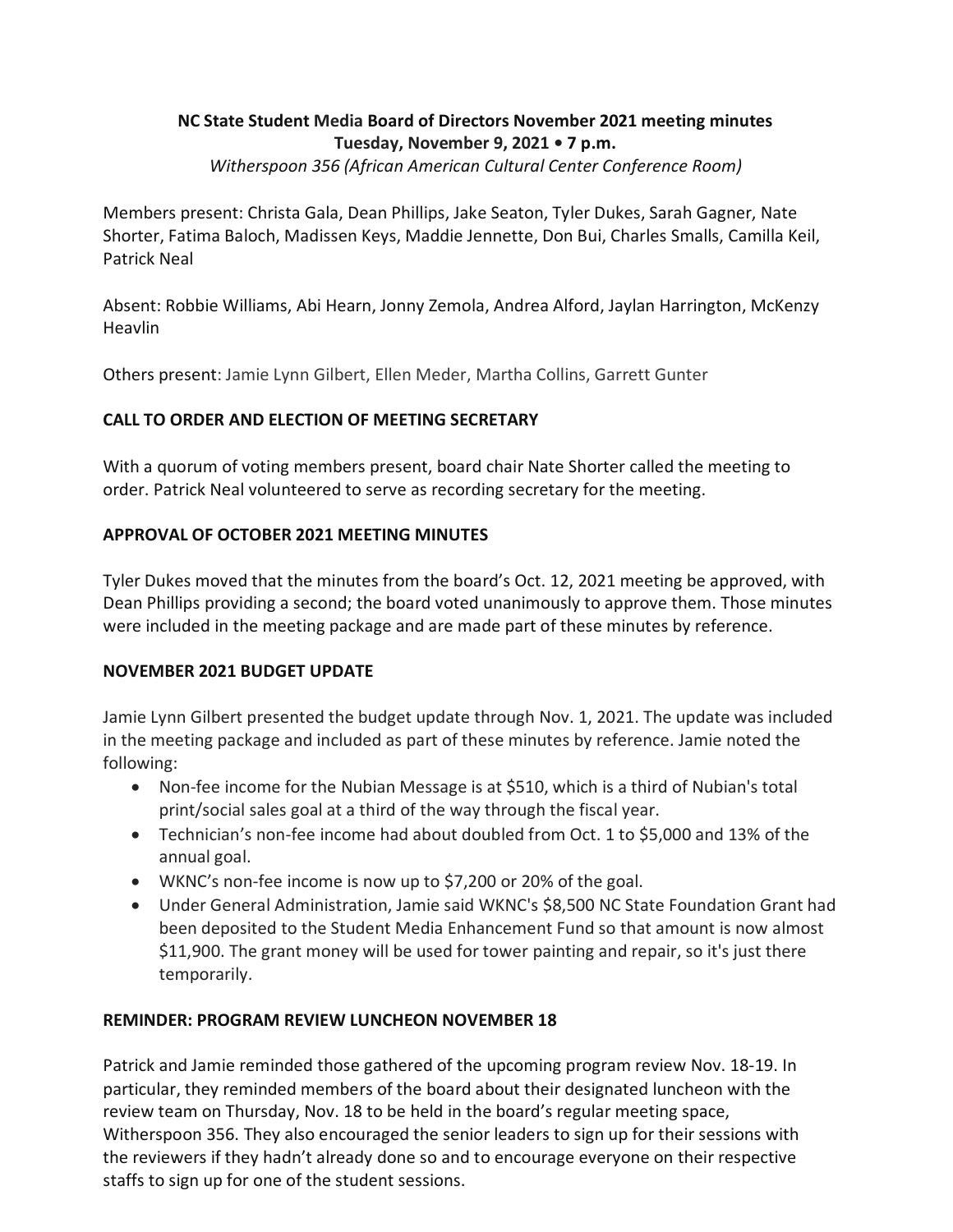# **NC State Student Media Board of Directors November 2021 meeting minutes Tuesday, November 9, 2021 • 7 p.m.**

*Witherspoon 356 (African American Cultural Center Conference Room)* 

Members present: Christa Gala, Dean Phillips, Jake Seaton, Tyler Dukes, Sarah Gagner, Nate Shorter, Fatima Baloch, Madissen Keys, Maddie Jennette, Don Bui, Charles Smalls, Camilla Keil, Patrick Neal

Absent: Robbie Williams, Abi Hearn, Jonny Zemola, Andrea Alford, Jaylan Harrington, McKenzy Heavlin

Others present: Jamie Lynn Gilbert, Ellen Meder, Martha Collins, Garrett Gunter

# **CALL TO ORDER AND ELECTION OF MEETING SECRETARY**

 order. Patrick Neal volunteered to serve as recording secretary for the meeting. With a quorum of voting members present, board chair Nate Shorter called the meeting to

# **APPROVAL OF OCTOBER 2021 MEETING MINUTES**

Tyler Dukes moved that the minutes from the board's Oct. 12, 2021 meeting be approved, with Dean Phillips providing a second; the board voted unanimously to approve them. Those minutes were included in the meeting package and are made part of these minutes by reference.

# **NOVEMBER 2021 BUDGET UPDATE**

Jamie Lynn Gilbert presented the budget update through Nov. 1, 2021. The update was included in the meeting package and included as part of these minutes by reference. Jamie noted the following:

- • Non-fee income for the Nubian Message is at \$510, which is a third of Nubian's total print/social sales goal at a third of the way through the fiscal year.
- • Technician's non-fee income had about doubled from Oct. 1 to \$5,000 and 13% of the annual goal.
- WKNC's non-fee income is now up to \$7,200 or 20% of the goal.
- Under General Administration, Jamie said WKNC's \$8,500 NC State Foundation Grant had been deposited to the Student Media Enhancement Fund so that amount is now almost \$11,900. The grant money will be used for tower painting and repair, so it's just there temporarily.

# **REMINDER: PROGRAM REVIEW LUNCHEON NOVEMBER 18**

Patrick and Jamie reminded those gathered of the upcoming program review Nov. 18-19. In particular, they reminded members of the board about their designated luncheon with the review team on Thursday, Nov. 18 to be held in the board's regular meeting space, Witherspoon 356. They also encouraged the senior leaders to sign up for their sessions with the reviewers if they hadn't already done so and to encourage everyone on their respective staffs to sign up for one of the student sessions.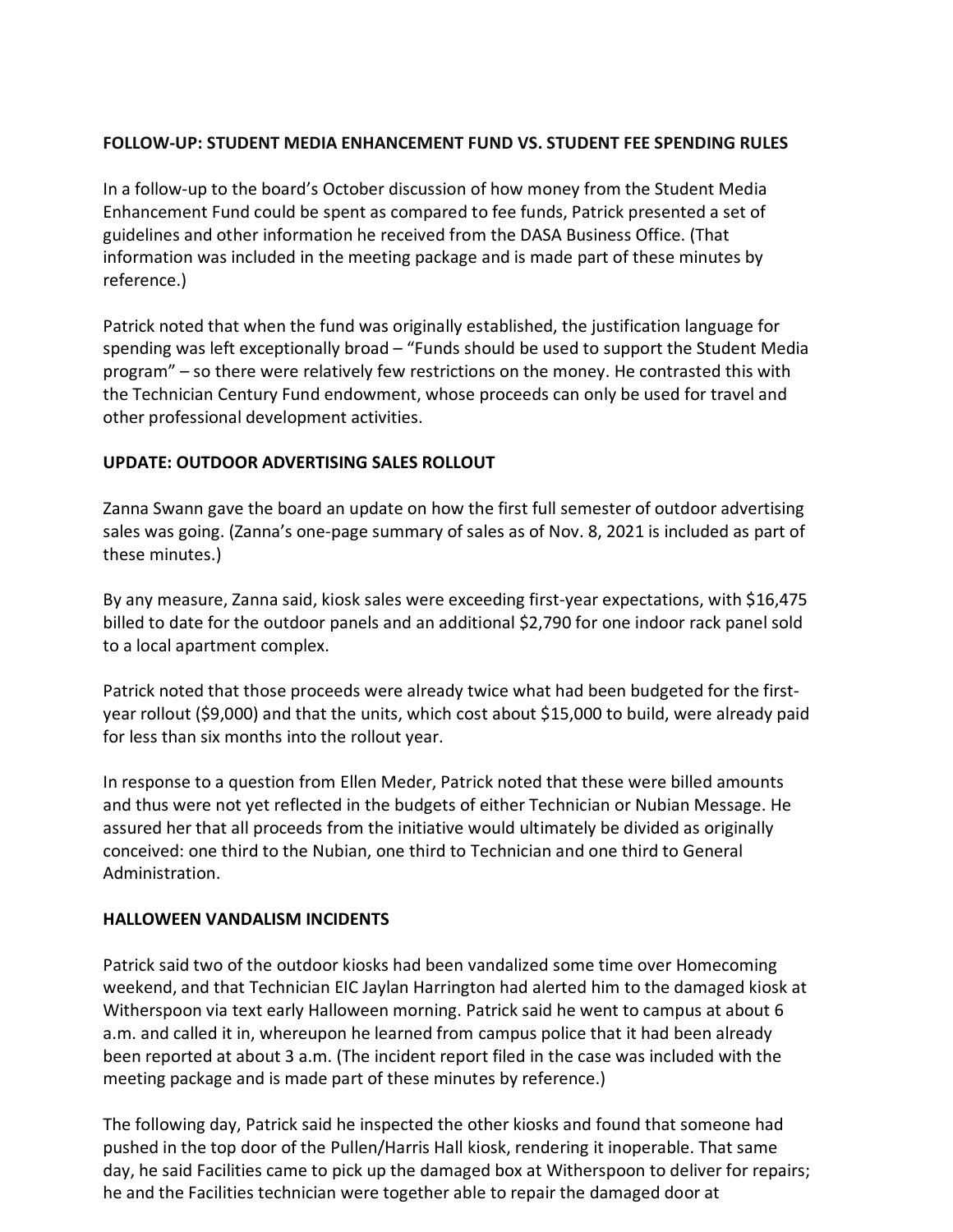#### **FOLLOW-UP: STUDENT MEDIA ENHANCEMENT FUND VS. STUDENT FEE SPENDING RULES**

In a follow-up to the board's October discussion of how money from the Student Media Enhancement Fund could be spent as compared to fee funds, Patrick presented a set of guidelines and other information he received from the DASA Business Office. (That information was included in the meeting package and is made part of these minutes by reference.)

Patrick noted that when the fund was originally established, the justification language for spending was left exceptionally broad – "Funds should be used to support the Student Media program" – so there were relatively few restrictions on the money. He contrasted this with the Technician Century Fund endowment, whose proceeds can only be used for travel and other professional development activities.

# **UPDATE: OUTDOOR ADVERTISING SALES ROLLOUT**

 sales was going. (Zanna's one-page summary of sales as of Nov. 8, 2021 is included as part of Zanna Swann gave the board an update on how the first full semester of outdoor advertising these minutes.)

 billed to date for the outdoor panels and an additional \$2,790 for one indoor rack panel sold By any measure, Zanna said, kiosk sales were exceeding first-year expectations, with \$16,475 to a local apartment complex.

 for less than six months into the rollout year. Patrick noted that those proceeds were already twice what had been budgeted for the firstyear rollout (\$9,000) and that the units, which cost about \$15,000 to build, were already paid

 assured her that all proceeds from the initiative would ultimately be divided as originally In response to a question from Ellen Meder, Patrick noted that these were billed amounts and thus were not yet reflected in the budgets of either Technician or Nubian Message. He conceived: one third to the Nubian, one third to Technician and one third to General Administration.

#### **HALLOWEEN VANDALISM INCIDENTS**

 Patrick said two of the outdoor kiosks had been vandalized some time over Homecoming a.m. and called it in, whereupon he learned from campus police that it had been already meeting package and is made part of these minutes by reference.) weekend, and that Technician EIC Jaylan Harrington had alerted him to the damaged kiosk at Witherspoon via text early Halloween morning. Patrick said he went to campus at about 6 been reported at about 3 a.m. (The incident report filed in the case was included with the

 he and the Facilities technician were together able to repair the damaged door at The following day, Patrick said he inspected the other kiosks and found that someone had pushed in the top door of the Pullen/Harris Hall kiosk, rendering it inoperable. That same day, he said Facilities came to pick up the damaged box at Witherspoon to deliver for repairs;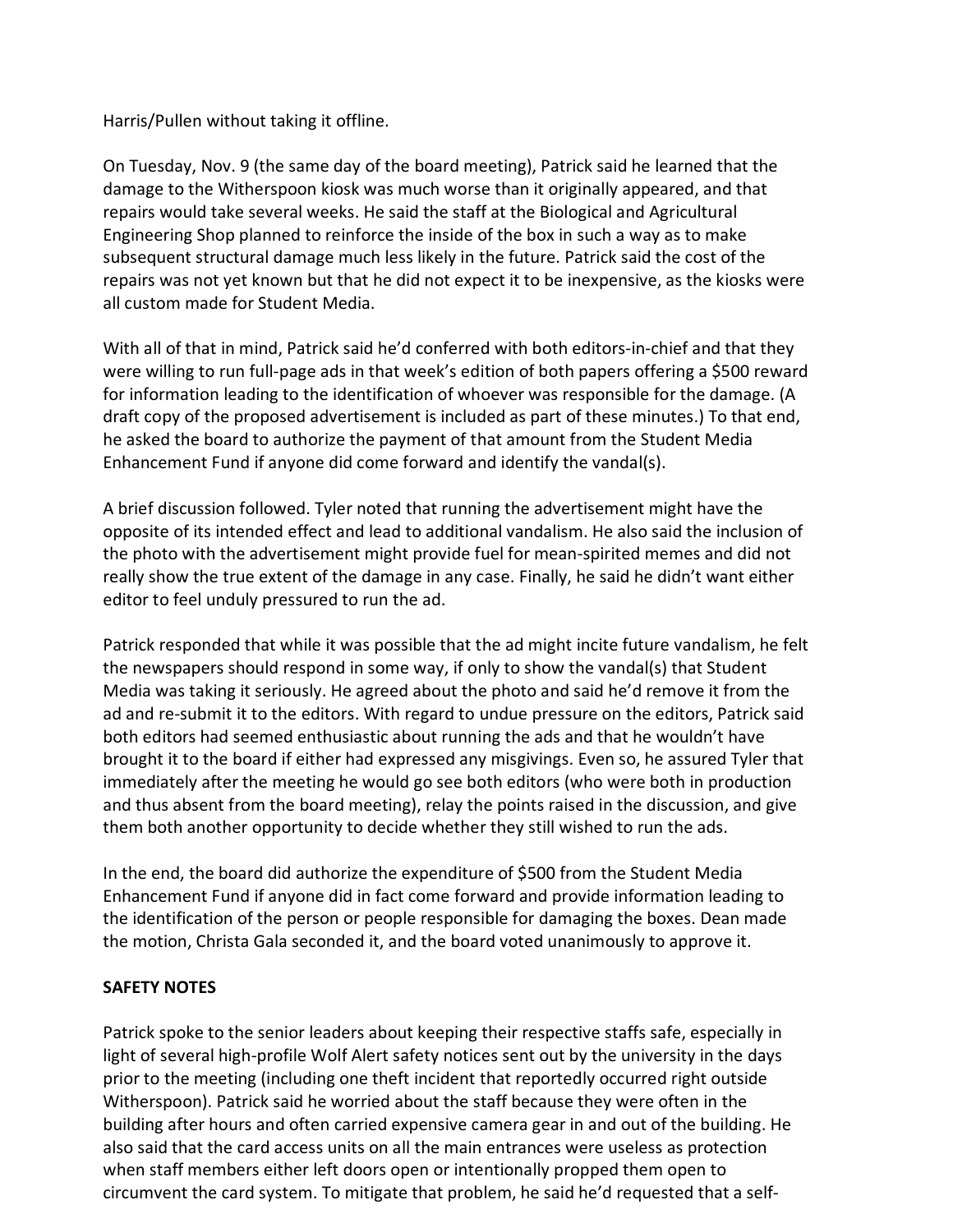#### Harris/Pullen without taking it offline.

 On Tuesday, Nov. 9 (the same day of the board meeting), Patrick said he learned that the damage to the Witherspoon kiosk was much worse than it originally appeared, and that repairs would take several weeks. He said the staff at the Biological and Agricultural Engineering Shop planned to reinforce the inside of the box in such a way as to make subsequent structural damage much less likely in the future. Patrick said the cost of the repairs was not yet known but that he did not expect it to be inexpensive, as the kiosks were all custom made for Student Media.

 With all of that in mind, Patrick said he'd conferred with both editors-in-chief and that they were willing to run full-page ads in that week's edition of both papers offering a \$500 reward for information leading to the identification of whoever was responsible for the damage. (A draft copy of the proposed advertisement is included as part of these minutes.) To that end, he asked the board to authorize the payment of that amount from the Student Media Enhancement Fund if anyone did come forward and identify the vandal(s).

A brief discussion followed. Tyler noted that running the advertisement might have the opposite of its intended effect and lead to additional vandalism. He also said the inclusion of the photo with the advertisement might provide fuel for mean-spirited memes and did not really show the true extent of the damage in any case. Finally, he said he didn't want either editor to feel unduly pressured to run the ad.

 Patrick responded that while it was possible that the ad might incite future vandalism, he felt ad and re-submit it to the editors. With regard to undue pressure on the editors, Patrick said both editors had seemed enthusiastic about running the ads and that he wouldn't have brought it to the board if either had expressed any misgivings. Even so, he assured Tyler that the newspapers should respond in some way, if only to show the vandal(s) that Student Media was taking it seriously. He agreed about the photo and said he'd remove it from the immediately after the meeting he would go see both editors (who were both in production and thus absent from the board meeting), relay the points raised in the discussion, and give them both another opportunity to decide whether they still wished to run the ads.

In the end, the board did authorize the expenditure of \$500 from the Student Media Enhancement Fund if anyone did in fact come forward and provide information leading to the identification of the person or people responsible for damaging the boxes. Dean made the motion, Christa Gala seconded it, and the board voted unanimously to approve it.

#### **SAFETY NOTES**

 light of several high-profile Wolf Alert safety notices sent out by the university in the days prior to the meeting (including one theft incident that reportedly occurred right outside Patrick spoke to the senior leaders about keeping their respective staffs safe, especially in Witherspoon). Patrick said he worried about the staff because they were often in the building after hours and often carried expensive camera gear in and out of the building. He also said that the card access units on all the main entrances were useless as protection when staff members either left doors open or intentionally propped them open to circumvent the card system. To mitigate that problem, he said he'd requested that a self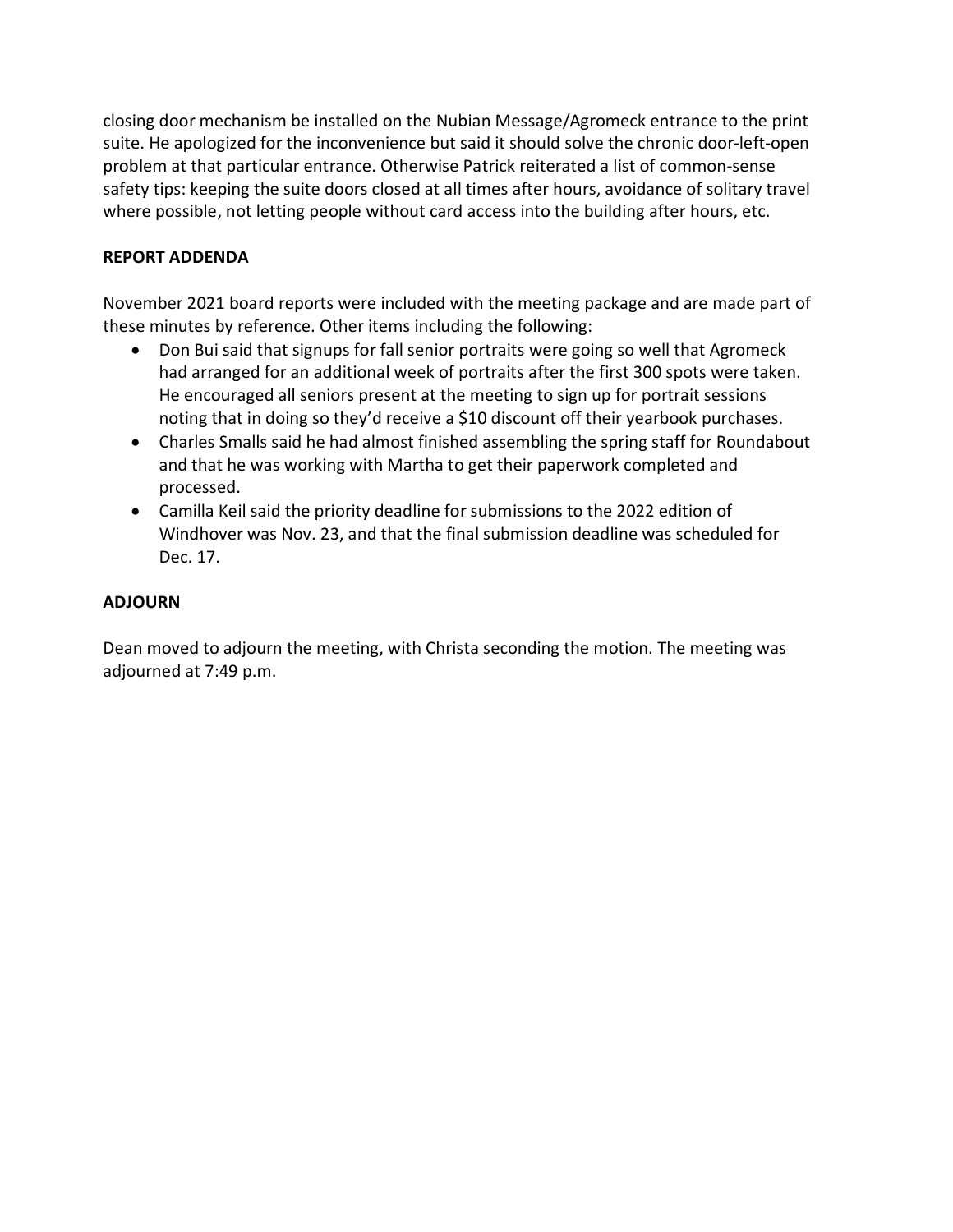closing door mechanism be installed on the Nubian Message/Agromeck entrance to the print suite. He apologized for the inconvenience but said it should solve the chronic door-left-open problem at that particular entrance. Otherwise Patrick reiterated a list of common-sense safety tips: keeping the suite doors closed at all times after hours, avoidance of solitary travel where possible, not letting people without card access into the building after hours, etc.

# **REPORT ADDENDA**

November 2021 board reports were included with the meeting package and are made part of these minutes by reference. Other items including the following:

- Don Bui said that signups for fall senior portraits were going so well that Agromeck had arranged for an additional week of portraits after the first 300 spots were taken. He encouraged all seniors present at the meeting to sign up for portrait sessions noting that in doing so they'd receive a \$10 discount off their yearbook purchases.
- Charles Smalls said he had almost finished assembling the spring staff for Roundabout and that he was working with Martha to get their paperwork completed and processed.
- • Camilla Keil said the priority deadline for submissions to the 2022 edition of Windhover was Nov. 23, and that the final submission deadline was scheduled for Dec. 17.

# **ADJOURN**

Dean moved to adjourn the meeting, with Christa seconding the motion. The meeting was adjourned at 7:49 p.m.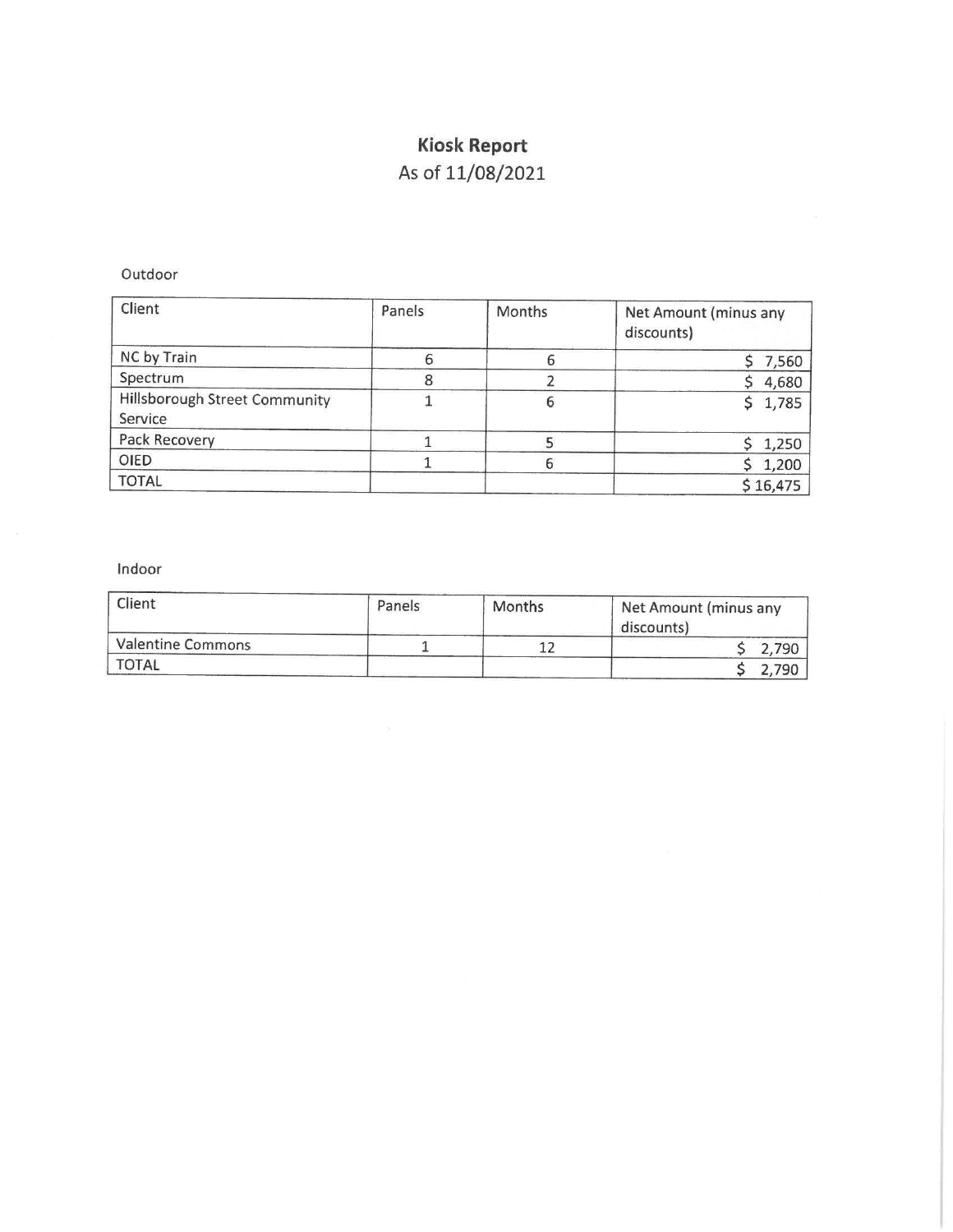# **Kiosk Report**

# As of 11/08/2021

Outdoor

| Client                                   | Panels | Months | Net Amount (minus any<br>discounts) |
|------------------------------------------|--------|--------|-------------------------------------|
| NC by Train                              |        |        | 7,560                               |
| Spectrum                                 |        |        | 4,680                               |
| Hillsborough Street Community<br>Service |        |        | 1,785                               |
| Pack Recovery                            |        |        | 1,250                               |
| OIED                                     |        |        | \$1,200                             |
| <b>TOTAL</b>                             |        |        | \$16,475                            |

Indoor

| Client                   | Panels | Months | Net Amount (minus any<br>discounts) |
|--------------------------|--------|--------|-------------------------------------|
| <b>Valentine Commons</b> |        |        | 2,790                               |
| <b>TOTAL</b>             |        |        | 790                                 |